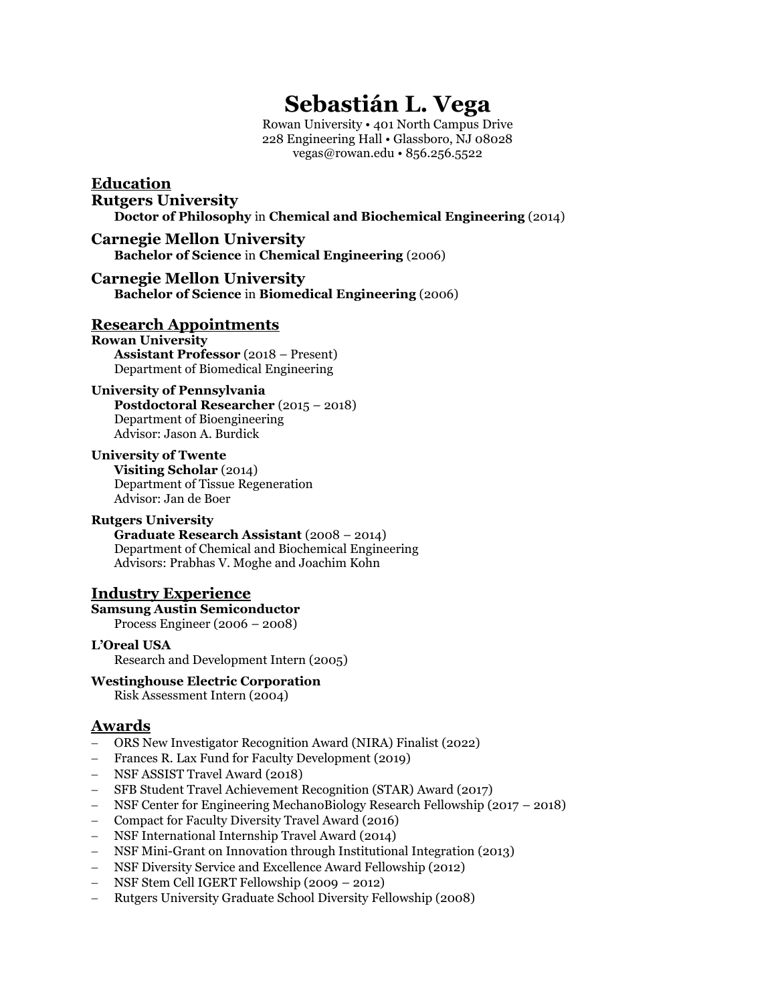# **Sebastián L. Vega**

Rowan University • 401 North Campus Drive 228 Engineering Hall • Glassboro, NJ 08028 vegas@rowan.edu • 856.256.5522

### **Education Rutgers University Doctor of Philosophy** in **Chemical and Biochemical Engineering** (2014)

### **Carnegie Mellon University Bachelor of Science** in **Chemical Engineering** (2006)

### **Carnegie Mellon University Bachelor of Science** in **Biomedical Engineering** (2006)

# **Research Appointments**

**Rowan University Assistant Professor** (2018 – Present) Department of Biomedical Engineering

### **University of Pennsylvania**

**Postdoctoral Researcher** (2015 – 2018) Department of Bioengineering Advisor: Jason A. Burdick

#### **University of Twente Visiting Scholar** (2014) Department of Tissue Regeneration Advisor: Jan de Boer

#### **Rutgers University Graduate Research Assistant** (2008 – 2014) Department of Chemical and Biochemical Engineering Advisors: Prabhas V. Moghe and Joachim Kohn

# **Industry Experience**

#### **Samsung Austin Semiconductor** Process Engineer (2006 – 2008)

**L'Oreal USA** Research and Development Intern (2005)

# **Westinghouse Electric Corporation**

Risk Assessment Intern (2004)

# **Awards**

- − ORS New Investigator Recognition Award (NIRA) Finalist (2022)
- − Frances R. Lax Fund for Faculty Development (2019)
- − NSF ASSIST Travel Award (2018)
- − SFB Student Travel Achievement Recognition (STAR) Award (2017)
- − NSF Center for Engineering MechanoBiology Research Fellowship (2017 2018)
- − Compact for Faculty Diversity Travel Award (2016)
- − NSF International Internship Travel Award (2014)
- − NSF Mini-Grant on Innovation through Institutional Integration (2013)
- − NSF Diversity Service and Excellence Award Fellowship (2012)
- − NSF Stem Cell IGERT Fellowship (2009 2012)
- − Rutgers University Graduate School Diversity Fellowship (2008)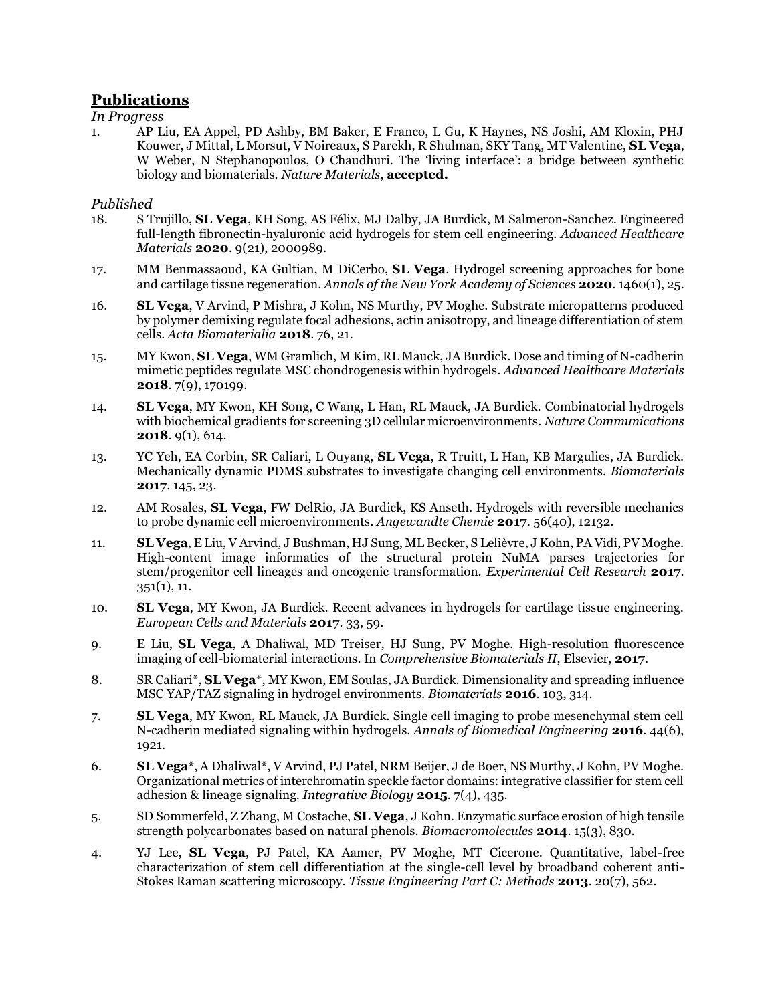# **Publications**

*In Progress*

1. AP Liu, EA Appel, PD Ashby, BM Baker, E Franco, L Gu, K Haynes, NS Joshi, AM Kloxin, PHJ Kouwer, J Mittal, L Morsut, V Noireaux, S Parekh, R Shulman, SKY Tang, MT Valentine, **SL Vega**, W Weber, N Stephanopoulos, O Chaudhuri. The 'living interface': a bridge between synthetic biology and biomaterials. *Nature Materials*, **accepted.**

### *Published*

- 18. S Trujillo, **SL Vega**, KH Song, AS Félix, MJ Dalby, JA Burdick, M Salmeron-Sanchez. Engineered full-length fibronectin-hyaluronic acid hydrogels for stem cell engineering. *Advanced Healthcare Materials* **2020**. 9(21), 2000989.
- 17. MM Benmassaoud, KA Gultian, M DiCerbo, **SL Vega**. Hydrogel screening approaches for bone and cartilage tissue regeneration. *Annals of the New York Academy of Sciences* **2020**. 1460(1), 25.
- 16. **SL Vega**, V Arvind, P Mishra, J Kohn, NS Murthy, PV Moghe. Substrate micropatterns produced by polymer demixing regulate focal adhesions, actin anisotropy, and lineage differentiation of stem cells. *Acta Biomaterialia* **2018**. 76, 21.
- 15. MY Kwon, **SL Vega**, WM Gramlich, M Kim, RL Mauck, JA Burdick. Dose and timing of N-cadherin mimetic peptides regulate MSC chondrogenesis within hydrogels. *Advanced Healthcare Materials*  **2018**. 7(9), 170199.
- 14. **SL Vega**, MY Kwon, KH Song, C Wang, L Han, RL Mauck, JA Burdick. Combinatorial hydrogels with biochemical gradients for screening 3D cellular microenvironments. *Nature Communications* **2018**. 9(1), 614.
- 13. YC Yeh, EA Corbin, SR Caliari, L Ouyang, **SL Vega**, R Truitt, L Han, KB Margulies, JA Burdick. Mechanically dynamic PDMS substrates to investigate changing cell environments. *Biomaterials* **2017**. 145, 23.
- 12. AM Rosales, **SL Vega**, FW DelRio, JA Burdick, KS Anseth. Hydrogels with reversible mechanics to probe dynamic cell microenvironments. *Angewandte Chemie* **2017**. 56(40), 12132.
- 11. **SL Vega**, E Liu, V Arvind, J Bushman, HJ Sung, ML Becker, S Lelièvre, J Kohn, PA Vidi, PV Moghe. High-content image informatics of the structural protein NuMA parses trajectories for stem/progenitor cell lineages and oncogenic transformation. *Experimental Cell Research* **2017**.  $351(1), 11.$
- 10. **SL Vega**, MY Kwon, JA Burdick. Recent advances in hydrogels for cartilage tissue engineering. *European Cells and Materials* **2017**. 33, 59.
- 9. E Liu, **SL Vega**, A Dhaliwal, MD Treiser, HJ Sung, PV Moghe. High-resolution fluorescence imaging of cell-biomaterial interactions. In *Comprehensive Biomaterials II*, Elsevier, **2017**.
- 8. SR Caliari\*, **SL Vega**\*, MY Kwon, EM Soulas, JA Burdick. Dimensionality and spreading influence MSC YAP/TAZ signaling in hydrogel environments. *Biomaterials* **2016**. 103, 314.
- 7. **SL Vega**, MY Kwon, RL Mauck, JA Burdick. Single cell imaging to probe mesenchymal stem cell N-cadherin mediated signaling within hydrogels. *Annals of Biomedical Engineering* **2016**. 44(6), 1921.
- 6. **SL Vega**\*, A Dhaliwal\*, V Arvind, PJ Patel, NRM Beijer, J de Boer, NS Murthy, J Kohn, PV Moghe. Organizational metrics of interchromatin speckle factor domains: integrative classifier for stem cell adhesion & lineage signaling. *Integrative Biology* **2015**. 7(4), 435.
- 5. SD Sommerfeld, Z Zhang, M Costache, **SL Vega**, J Kohn. Enzymatic surface erosion of high tensile strength polycarbonates based on natural phenols. *Biomacromolecules* **2014**. 15(3), 830.
- 4. YJ Lee, **SL Vega**, PJ Patel, KA Aamer, PV Moghe, MT Cicerone. Quantitative, label-free characterization of stem cell differentiation at the single-cell level by broadband coherent anti-Stokes Raman scattering microscopy. *Tissue Engineering Part C: Methods* **2013**. 20(7), 562.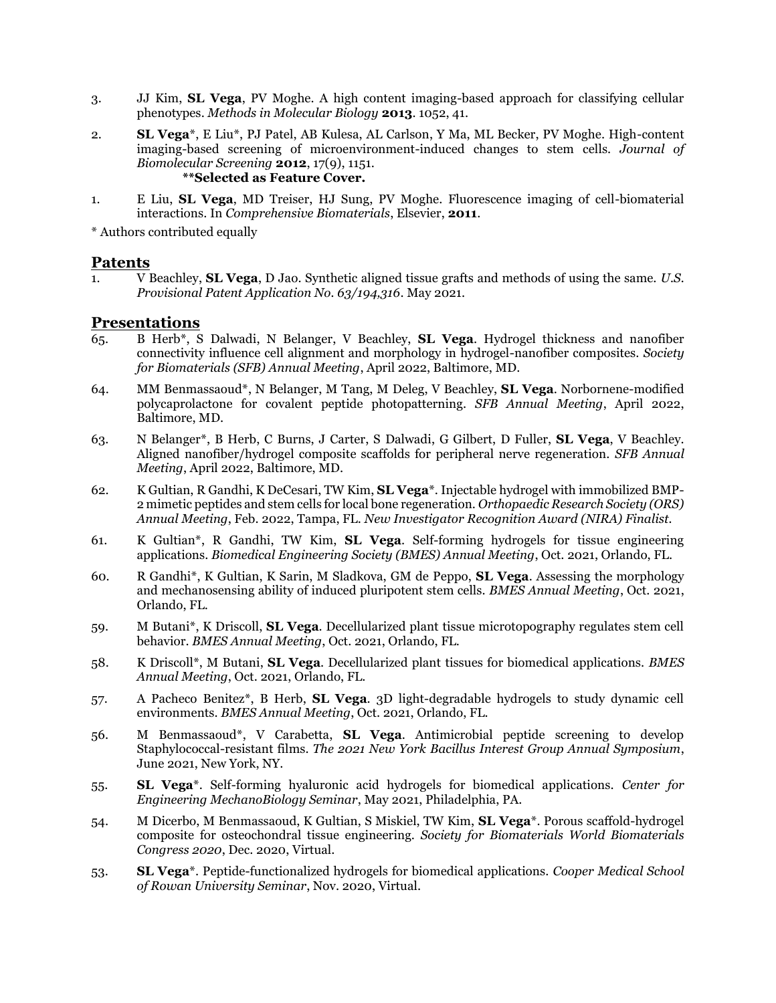- 3. JJ Kim, **SL Vega**, PV Moghe. A high content imaging-based approach for classifying cellular phenotypes. *Methods in Molecular Biology* **2013**. 1052, 41.
- 2. **SL Vega**\*, E Liu\*, PJ Patel, AB Kulesa, AL Carlson, Y Ma, ML Becker, PV Moghe. High-content imaging-based screening of microenvironment-induced changes to stem cells. *Journal of Biomolecular Screening* **2012**, 17(9), 1151. **\*\*Selected as Feature Cover.**
- 1. E Liu, **SL Vega**, MD Treiser, HJ Sung, PV Moghe. Fluorescence imaging of cell-biomaterial interactions. In *Comprehensive Biomaterials*, Elsevier, **2011**.

\* Authors contributed equally

### **Patents**

1. V Beachley, **SL Vega**, D Jao. Synthetic aligned tissue grafts and methods of using the same. *U.S. Provisional Patent Application No. 63/194,316*. May 2021.

### **Presentations**

- 65. B Herb\*, S Dalwadi, N Belanger, V Beachley, **SL Vega**. Hydrogel thickness and nanofiber connectivity influence cell alignment and morphology in hydrogel-nanofiber composites. *Society for Biomaterials (SFB) Annual Meeting*, April 2022, Baltimore, MD.
- 64. MM Benmassaoud\*, N Belanger, M Tang, M Deleg, V Beachley, **SL Vega**. Norbornene-modified polycaprolactone for covalent peptide photopatterning. *SFB Annual Meeting*, April 2022, Baltimore, MD.
- 63. N Belanger\*, B Herb, C Burns, J Carter, S Dalwadi, G Gilbert, D Fuller, **SL Vega**, V Beachley. Aligned nanofiber/hydrogel composite scaffolds for peripheral nerve regeneration. *SFB Annual Meeting*, April 2022, Baltimore, MD.
- 62. K Gultian, R Gandhi, K DeCesari, TW Kim, **SL Vega**\*. Injectable hydrogel with immobilized BMP-2 mimetic peptides and stem cells for local bone regeneration. *Orthopaedic Research Society (ORS) Annual Meeting*, Feb. 2022, Tampa, FL. *New Investigator Recognition Award (NIRA) Finalist.*
- 61. K Gultian\*, R Gandhi, TW Kim, **SL Vega**. Self-forming hydrogels for tissue engineering applications. *Biomedical Engineering Society (BMES) Annual Meeting*, Oct. 2021, Orlando, FL.
- 60. R Gandhi\*, K Gultian, K Sarin, M Sladkova, GM de Peppo, **SL Vega**. Assessing the morphology and mechanosensing ability of induced pluripotent stem cells. *BMES Annual Meeting*, Oct. 2021, Orlando, FL.
- 59. M Butani\*, K Driscoll, **SL Vega**. Decellularized plant tissue microtopography regulates stem cell behavior. *BMES Annual Meeting*, Oct. 2021, Orlando, FL.
- 58. K Driscoll\*, M Butani, **SL Vega**. Decellularized plant tissues for biomedical applications. *BMES Annual Meeting*, Oct. 2021, Orlando, FL.
- 57. A Pacheco Benitez\*, B Herb, **SL Vega**. 3D light-degradable hydrogels to study dynamic cell environments. *BMES Annual Meeting*, Oct. 2021, Orlando, FL.
- 56. M Benmassaoud\*, V Carabetta, **SL Vega**. Antimicrobial peptide screening to develop Staphylococcal-resistant films. *The 2021 New York Bacillus Interest Group Annual Symposium*, June 2021, New York, NY.
- 55. **SL Vega**\*. Self-forming hyaluronic acid hydrogels for biomedical applications. *Center for Engineering MechanoBiology Seminar*, May 2021, Philadelphia, PA.
- 54. M Dicerbo, M Benmassaoud, K Gultian, S Miskiel, TW Kim, **SL Vega**\*. Porous scaffold-hydrogel composite for osteochondral tissue engineering. *Society for Biomaterials World Biomaterials Congress 2020*, Dec. 2020, Virtual.
- 53. **SL Vega**\*. Peptide-functionalized hydrogels for biomedical applications. *Cooper Medical School of Rowan University Seminar*, Nov. 2020, Virtual.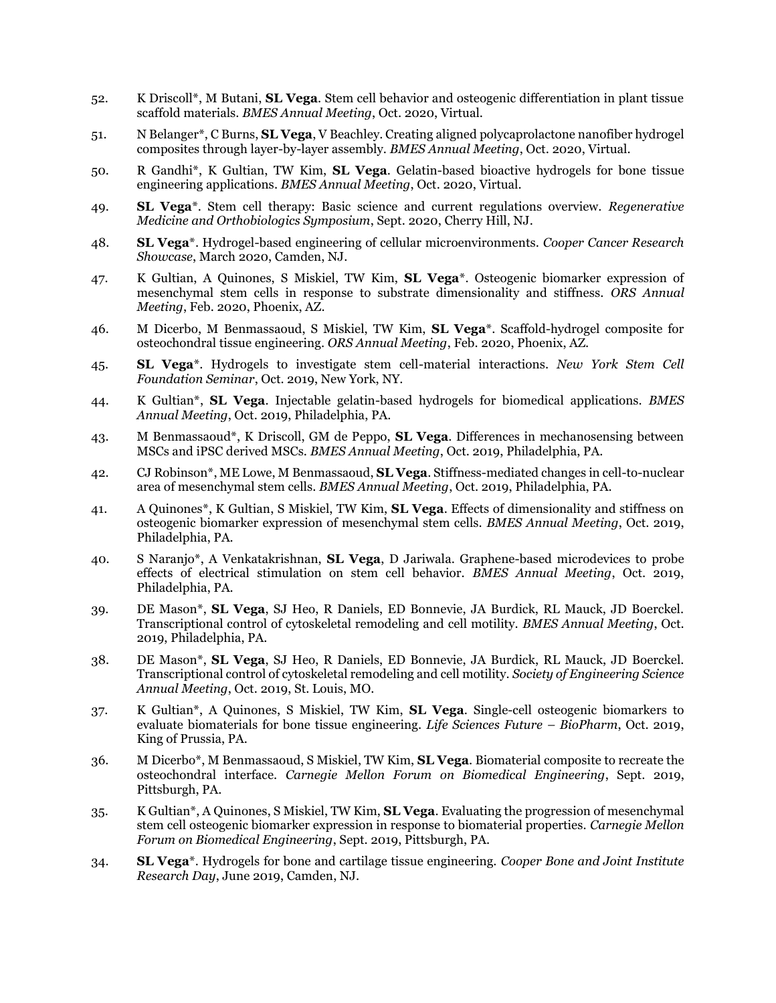- 52. K Driscoll\*, M Butani, **SL Vega**. Stem cell behavior and osteogenic differentiation in plant tissue scaffold materials. *BMES Annual Meeting*, Oct. 2020, Virtual.
- 51. N Belanger\*, C Burns, **SL Vega**, V Beachley. Creating aligned polycaprolactone nanofiber hydrogel composites through layer-by-layer assembly. *BMES Annual Meeting*, Oct. 2020, Virtual.
- 50. R Gandhi\*, K Gultian, TW Kim, **SL Vega**. Gelatin-based bioactive hydrogels for bone tissue engineering applications. *BMES Annual Meeting*, Oct. 2020, Virtual.
- 49. **SL Vega**\*. Stem cell therapy: Basic science and current regulations overview. *Regenerative Medicine and Orthobiologics Symposium*, Sept. 2020, Cherry Hill, NJ.
- 48. **SL Vega**\*. Hydrogel-based engineering of cellular microenvironments. *Cooper Cancer Research Showcase*, March 2020, Camden, NJ.
- 47. K Gultian, A Quinones, S Miskiel, TW Kim, **SL Vega**\*. Osteogenic biomarker expression of mesenchymal stem cells in response to substrate dimensionality and stiffness. *ORS Annual Meeting*, Feb. 2020, Phoenix, AZ.
- 46. M Dicerbo, M Benmassaoud, S Miskiel, TW Kim, **SL Vega**\*. Scaffold-hydrogel composite for osteochondral tissue engineering. *ORS Annual Meeting*, Feb. 2020, Phoenix, AZ.
- 45. **SL Vega**\*. Hydrogels to investigate stem cell-material interactions. *New York Stem Cell Foundation Seminar*, Oct. 2019, New York, NY.
- 44. K Gultian\*, **SL Vega**. Injectable gelatin-based hydrogels for biomedical applications. *BMES Annual Meeting*, Oct. 2019, Philadelphia, PA.
- 43. M Benmassaoud\*, K Driscoll, GM de Peppo, **SL Vega**. Differences in mechanosensing between MSCs and iPSC derived MSCs. *BMES Annual Meeting*, Oct. 2019, Philadelphia, PA.
- 42. CJ Robinson\*, ME Lowe, M Benmassaoud, **SL Vega**. Stiffness-mediated changes in cell-to-nuclear area of mesenchymal stem cells. *BMES Annual Meeting*, Oct. 2019, Philadelphia, PA.
- 41. A Quinones\*, K Gultian, S Miskiel, TW Kim, **SL Vega**. Effects of dimensionality and stiffness on osteogenic biomarker expression of mesenchymal stem cells. *BMES Annual Meeting*, Oct. 2019, Philadelphia, PA.
- 40. S Naranjo\*, A Venkatakrishnan, **SL Vega**, D Jariwala. Graphene-based microdevices to probe effects of electrical stimulation on stem cell behavior. *BMES Annual Meeting*, Oct. 2019, Philadelphia, PA.
- 39. DE Mason\*, **SL Vega**, SJ Heo, R Daniels, ED Bonnevie, JA Burdick, RL Mauck, JD Boerckel. Transcriptional control of cytoskeletal remodeling and cell motility. *BMES Annual Meeting*, Oct. 2019, Philadelphia, PA.
- 38. DE Mason\*, **SL Vega**, SJ Heo, R Daniels, ED Bonnevie, JA Burdick, RL Mauck, JD Boerckel. Transcriptional control of cytoskeletal remodeling and cell motility. *Society of Engineering Science Annual Meeting*, Oct. 2019, St. Louis, MO.
- 37. K Gultian\*, A Quinones, S Miskiel, TW Kim, **SL Vega**. Single-cell osteogenic biomarkers to evaluate biomaterials for bone tissue engineering. *Life Sciences Future – BioPharm*, Oct. 2019, King of Prussia, PA.
- 36. M Dicerbo\*, M Benmassaoud, S Miskiel, TW Kim, **SL Vega**. Biomaterial composite to recreate the osteochondral interface. *Carnegie Mellon Forum on Biomedical Engineering*, Sept. 2019, Pittsburgh, PA.
- 35. K Gultian\*, A Quinones, S Miskiel, TW Kim, **SL Vega**. Evaluating the progression of mesenchymal stem cell osteogenic biomarker expression in response to biomaterial properties. *Carnegie Mellon Forum on Biomedical Engineering*, Sept. 2019, Pittsburgh, PA.
- 34. **SL Vega**\*. Hydrogels for bone and cartilage tissue engineering. *Cooper Bone and Joint Institute Research Day*, June 2019, Camden, NJ.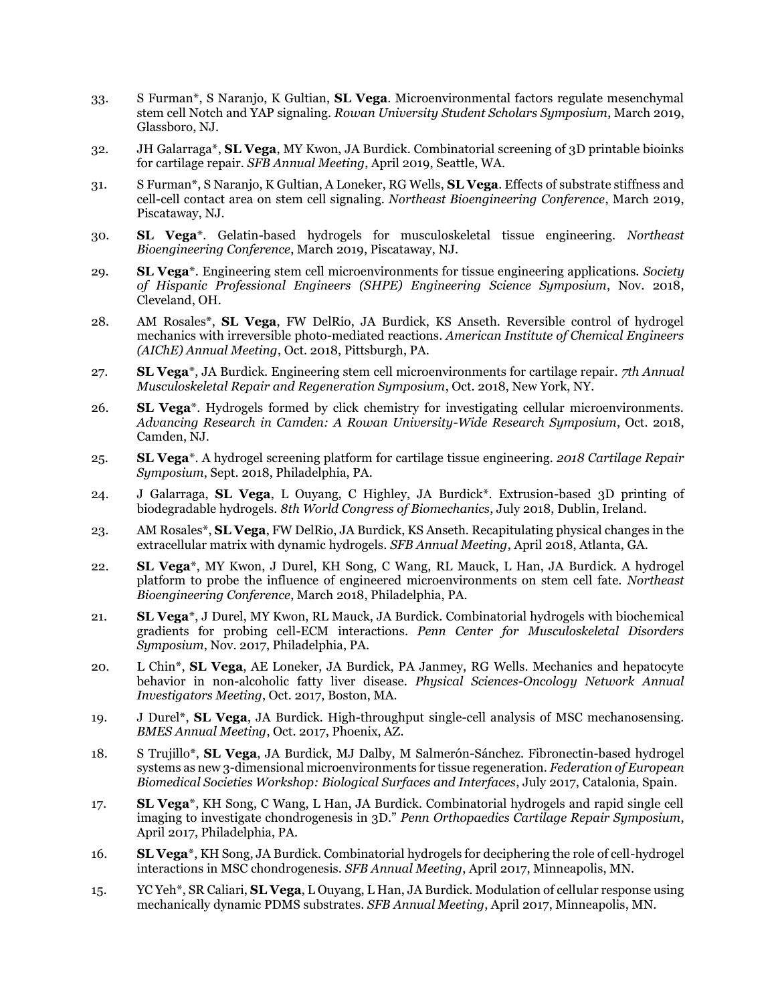- 33. S Furman\*, S Naranjo, K Gultian, **SL Vega**. Microenvironmental factors regulate mesenchymal stem cell Notch and YAP signaling. *Rowan University Student Scholars Symposium*, March 2019, Glassboro, NJ.
- 32. JH Galarraga\*, **SL Vega**, MY Kwon, JA Burdick. Combinatorial screening of 3D printable bioinks for cartilage repair. *SFB Annual Meeting*, April 2019, Seattle, WA.
- 31. S Furman\*, S Naranjo, K Gultian, A Loneker, RG Wells, **SL Vega**. Effects of substrate stiffness and cell-cell contact area on stem cell signaling. *Northeast Bioengineering Conference*, March 2019, Piscataway, NJ.
- 30. **SL Vega**\*. Gelatin-based hydrogels for musculoskeletal tissue engineering. *Northeast Bioengineering Conference*, March 2019, Piscataway, NJ.
- 29. **SL Vega**\*. Engineering stem cell microenvironments for tissue engineering applications. *Society of Hispanic Professional Engineers (SHPE) Engineering Science Symposium*, Nov. 2018, Cleveland, OH.
- 28. AM Rosales\*, **SL Vega**, FW DelRio, JA Burdick, KS Anseth. Reversible control of hydrogel mechanics with irreversible photo-mediated reactions. *American Institute of Chemical Engineers (AIChE) Annual Meeting*, Oct. 2018, Pittsburgh, PA.
- 27. **SL Vega**\*, JA Burdick. Engineering stem cell microenvironments for cartilage repair. *7th Annual Musculoskeletal Repair and Regeneration Symposium*, Oct. 2018, New York, NY.
- 26. **SL Vega**\*. Hydrogels formed by click chemistry for investigating cellular microenvironments. *Advancing Research in Camden: A Rowan University-Wide Research Symposium*, Oct. 2018, Camden, NJ.
- 25. **SL Vega**\*. A hydrogel screening platform for cartilage tissue engineering. *2018 Cartilage Repair Symposium*, Sept. 2018, Philadelphia, PA.
- 24. J Galarraga, **SL Vega**, L Ouyang, C Highley, JA Burdick\*. Extrusion-based 3D printing of biodegradable hydrogels. *8th World Congress of Biomechanics*, July 2018, Dublin, Ireland.
- 23. AM Rosales\*, **SL Vega**, FW DelRio, JA Burdick, KS Anseth. Recapitulating physical changes in the extracellular matrix with dynamic hydrogels. *SFB Annual Meeting*, April 2018, Atlanta, GA.
- 22. **SL Vega**\*, MY Kwon, J Durel, KH Song, C Wang, RL Mauck, L Han, JA Burdick. A hydrogel platform to probe the influence of engineered microenvironments on stem cell fate. *Northeast Bioengineering Conference*, March 2018, Philadelphia, PA.
- 21. **SL Vega**\*, J Durel, MY Kwon, RL Mauck, JA Burdick. Combinatorial hydrogels with biochemical gradients for probing cell-ECM interactions. *Penn Center for Musculoskeletal Disorders Symposium*, Nov. 2017, Philadelphia, PA.
- 20. L Chin\*, **SL Vega**, AE Loneker, JA Burdick, PA Janmey, RG Wells. Mechanics and hepatocyte behavior in non-alcoholic fatty liver disease. *Physical Sciences-Oncology Network Annual Investigators Meeting*, Oct. 2017, Boston, MA.
- 19. J Durel\*, **SL Vega**, JA Burdick. High-throughput single-cell analysis of MSC mechanosensing. *BMES Annual Meeting*, Oct. 2017, Phoenix, AZ.
- 18. S Trujillo\*, **SL Vega**, JA Burdick, MJ Dalby, M Salmerón-Sánchez. Fibronectin-based hydrogel systems as new 3-dimensional microenvironments for tissue regeneration. *Federation of European Biomedical Societies Workshop: Biological Surfaces and Interfaces*, July 2017, Catalonia, Spain.
- 17. **SL Vega**\*, KH Song, C Wang, L Han, JA Burdick. Combinatorial hydrogels and rapid single cell imaging to investigate chondrogenesis in 3D." *Penn Orthopaedics Cartilage Repair Symposium*, April 2017, Philadelphia, PA.
- 16. **SL Vega**\*, KH Song, JA Burdick. Combinatorial hydrogels for deciphering the role of cell-hydrogel interactions in MSC chondrogenesis. *SFB Annual Meeting*, April 2017, Minneapolis, MN.
- 15. YC Yeh\*, SR Caliari, **SL Vega**, L Ouyang, L Han, JA Burdick. Modulation of cellular response using mechanically dynamic PDMS substrates. *SFB Annual Meeting*, April 2017, Minneapolis, MN.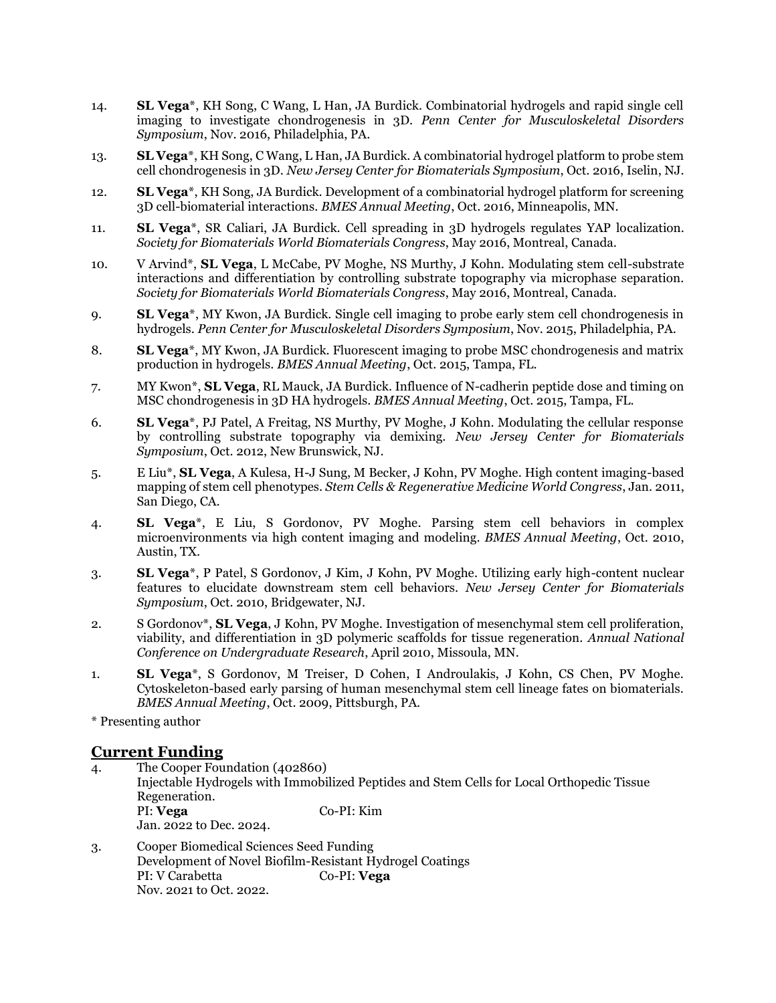- 14. **SL Vega**\*, KH Song, C Wang, L Han, JA Burdick. Combinatorial hydrogels and rapid single cell imaging to investigate chondrogenesis in 3D. *Penn Center for Musculoskeletal Disorders Symposium*, Nov. 2016, Philadelphia, PA.
- 13. **SL Vega**\*, KH Song, C Wang, L Han, JA Burdick. A combinatorial hydrogel platform to probe stem cell chondrogenesis in 3D. *New Jersey Center for Biomaterials Symposium*, Oct. 2016, Iselin, NJ.
- 12. **SL Vega**\*, KH Song, JA Burdick. Development of a combinatorial hydrogel platform for screening 3D cell-biomaterial interactions. *BMES Annual Meeting*, Oct. 2016, Minneapolis, MN.
- 11. **SL Vega**\*, SR Caliari, JA Burdick. Cell spreading in 3D hydrogels regulates YAP localization. *Society for Biomaterials World Biomaterials Congress*, May 2016, Montreal, Canada.
- 10. V Arvind\*, **SL Vega**, L McCabe, PV Moghe, NS Murthy, J Kohn. Modulating stem cell-substrate interactions and differentiation by controlling substrate topography via microphase separation. *Society for Biomaterials World Biomaterials Congress*, May 2016, Montreal, Canada.
- 9. **SL Vega**\*, MY Kwon, JA Burdick. Single cell imaging to probe early stem cell chondrogenesis in hydrogels. *Penn Center for Musculoskeletal Disorders Symposium*, Nov. 2015, Philadelphia, PA.
- 8. **SL Vega**\*, MY Kwon, JA Burdick. Fluorescent imaging to probe MSC chondrogenesis and matrix production in hydrogels. *BMES Annual Meeting*, Oct. 2015, Tampa, FL.
- 7. MY Kwon\*, **SL Vega**, RL Mauck, JA Burdick. Influence of N-cadherin peptide dose and timing on MSC chondrogenesis in 3D HA hydrogels. *BMES Annual Meeting*, Oct. 2015, Tampa, FL.
- 6. **SL Vega**\*, PJ Patel, A Freitag, NS Murthy, PV Moghe, J Kohn. Modulating the cellular response by controlling substrate topography via demixing. *New Jersey Center for Biomaterials Symposium*, Oct. 2012, New Brunswick, NJ.
- 5. E Liu\*, **SL Vega**, A Kulesa, H-J Sung, M Becker, J Kohn, PV Moghe. High content imaging-based mapping of stem cell phenotypes. *Stem Cells & Regenerative Medicine World Congress*, Jan. 2011, San Diego, CA.
- 4. **SL Vega**\*, E Liu, S Gordonov, PV Moghe. Parsing stem cell behaviors in complex microenvironments via high content imaging and modeling. *BMES Annual Meeting*, Oct. 2010, Austin, TX.
- 3. **SL Vega**\*, P Patel, S Gordonov, J Kim, J Kohn, PV Moghe. Utilizing early high-content nuclear features to elucidate downstream stem cell behaviors. *New Jersey Center for Biomaterials Symposium*, Oct. 2010, Bridgewater, NJ.
- 2. S Gordonov\*, **SL Vega**, J Kohn, PV Moghe. Investigation of mesenchymal stem cell proliferation, viability, and differentiation in 3D polymeric scaffolds for tissue regeneration. *Annual National Conference on Undergraduate Research*, April 2010, Missoula, MN.
- 1. **SL Vega**\*, S Gordonov, M Treiser, D Cohen, I Androulakis, J Kohn, CS Chen, PV Moghe. Cytoskeleton-based early parsing of human mesenchymal stem cell lineage fates on biomaterials. *BMES Annual Meeting*, Oct. 2009, Pittsburgh, PA.

\* Presenting author

### **Current Funding**

- 4. The Cooper Foundation (402860) Injectable Hydrogels with Immobilized Peptides and Stem Cells for Local Orthopedic Tissue Regeneration. PI: **Vega** Co-PI: Kim Jan. 2022 to Dec. 2024.
- 3. Cooper Biomedical Sciences Seed Funding Development of Novel Biofilm-Resistant Hydrogel Coatings PI: V Carabetta Co-PI: **Vega** Nov. 2021 to Oct. 2022.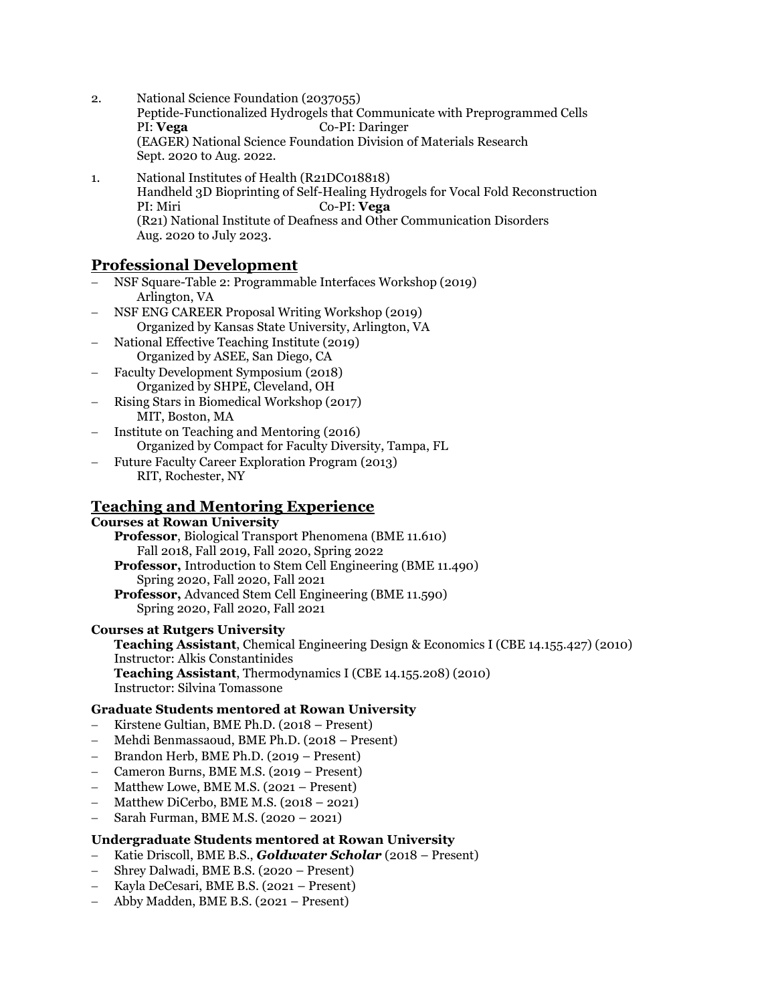- 2. National Science Foundation (2037055) Peptide-Functionalized Hydrogels that Communicate with Preprogrammed Cells PI: **Vega** Co-PI: Daringer (EAGER) National Science Foundation Division of Materials Research Sept. 2020 to Aug. 2022.
- 1. National Institutes of Health (R21DC018818) Handheld 3D Bioprinting of Self-Healing Hydrogels for Vocal Fold Reconstruction PI: Miri Co-PI: **Vega** (R21) National Institute of Deafness and Other Communication Disorders Aug. 2020 to July 2023.

# **Professional Development**

- − NSF Square-Table 2: Programmable Interfaces Workshop (2019) Arlington, VA
- − NSF ENG CAREER Proposal Writing Workshop (2019) Organized by Kansas State University, Arlington, VA
- − National Effective Teaching Institute (2019) Organized by ASEE, San Diego, CA
- − Faculty Development Symposium (2018) Organized by SHPE, Cleveland, OH
- − Rising Stars in Biomedical Workshop (2017) MIT, Boston, MA
- − Institute on Teaching and Mentoring (2016) Organized by Compact for Faculty Diversity, Tampa, FL
- − Future Faculty Career Exploration Program (2013) RIT, Rochester, NY

# **Teaching and Mentoring Experience**

# **Courses at Rowan University**

**Professor**, Biological Transport Phenomena (BME 11.610) Fall 2018, Fall 2019, Fall 2020, Spring 2022 **Professor,** Introduction to Stem Cell Engineering (BME 11.490) Spring 2020, Fall 2020, Fall 2021 **Professor,** Advanced Stem Cell Engineering (BME 11.590) Spring 2020, Fall 2020, Fall 2021

### **Courses at Rutgers University**

**Teaching Assistant**, Chemical Engineering Design & Economics I (CBE 14.155.427) (2010) Instructor: Alkis Constantinides **Teaching Assistant**, Thermodynamics I (CBE 14.155.208) (2010) Instructor: Silvina Tomassone

### **Graduate Students mentored at Rowan University**

- − Kirstene Gultian, BME Ph.D. (2018 Present)
- − Mehdi Benmassaoud, BME Ph.D. (2018 Present)
- − Brandon Herb, BME Ph.D. (2019 Present)
- − Cameron Burns, BME M.S. (2019 Present)
- $M$ atthew Lowe, BME M.S. (2021 Present)
- Matthew DiCerbo, BME M.S.  $(2018 2021)$
- − Sarah Furman, BME M.S. (2020 2021)

# **Undergraduate Students mentored at Rowan University**

- − Katie Driscoll, BME B.S., *Goldwater Scholar* (2018 Present)
- − Shrey Dalwadi, BME B.S. (2020 Present)
- − Kayla DeCesari, BME B.S. (2021 Present)
- − Abby Madden, BME B.S. (2021 Present)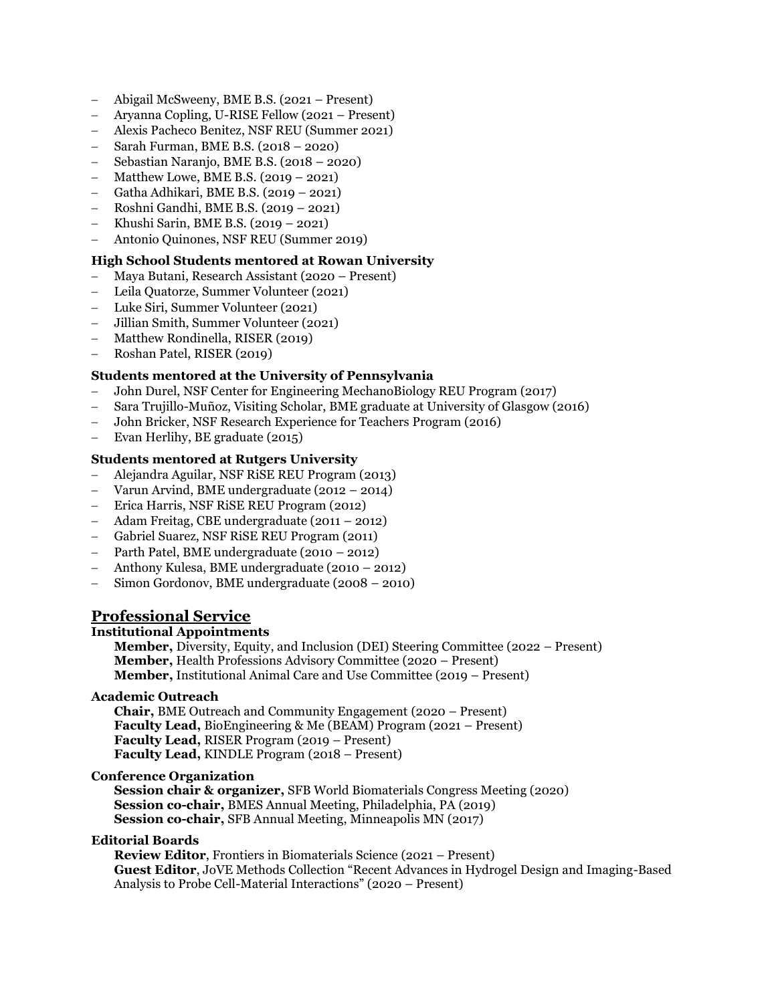- − Abigail McSweeny, BME B.S. (2021 Present)
- − Aryanna Copling, U-RISE Fellow (2021 Present)
- − Alexis Pacheco Benitez, NSF REU (Summer 2021)
- − Sarah Furman, BME B.S. (2018 2020)
- − Sebastian Naranjo, BME B.S. (2018 2020)
- − Matthew Lowe, BME B.S. (2019 2021)
- − Gatha Adhikari, BME B.S. (2019 2021)
- − Roshni Gandhi, BME B.S. (2019 2021)
- − Khushi Sarin, BME B.S. (2019 2021)
- − Antonio Quinones, NSF REU (Summer 2019)

### **High School Students mentored at Rowan University**

- − Maya Butani, Research Assistant (2020 Present)
- − Leila Quatorze, Summer Volunteer (2021)
- − Luke Siri, Summer Volunteer (2021)
- − Jillian Smith, Summer Volunteer (2021)
- − Matthew Rondinella, RISER (2019)
- − Roshan Patel, RISER (2019)

### **Students mentored at the University of Pennsylvania**

- − John Durel, NSF Center for Engineering MechanoBiology REU Program (2017)
- − Sara Trujillo-Muñoz, Visiting Scholar, BME graduate at University of Glasgow (2016)
- − John Bricker, NSF Research Experience for Teachers Program (2016)
- − Evan Herlihy, BE graduate (2015)

#### **Students mentored at Rutgers University**

- − Alejandra Aguilar, NSF RiSE REU Program (2013)
- − Varun Arvind, BME undergraduate (2012 2014)
- − Erica Harris, NSF RiSE REU Program (2012)
- − Adam Freitag, CBE undergraduate (2011 2012)
- − Gabriel Suarez, NSF RiSE REU Program (2011)
- − Parth Patel, BME undergraduate (2010 2012)
- − Anthony Kulesa, BME undergraduate (2010 2012)
- − Simon Gordonov, BME undergraduate (2008 2010)

# **Professional Service**

#### **Institutional Appointments**

**Member,** Diversity, Equity, and Inclusion (DEI) Steering Committee (2022 – Present) **Member,** Health Professions Advisory Committee (2020 – Present) **Member,** Institutional Animal Care and Use Committee (2019 – Present)

#### **Academic Outreach**

**Chair,** BME Outreach and Community Engagement (2020 – Present) **Faculty Lead,** BioEngineering & Me (BEAM) Program (2021 – Present) **Faculty Lead,** RISER Program (2019 – Present) **Faculty Lead,** KINDLE Program (2018 – Present)

#### **Conference Organization**

**Session chair & organizer, SFB World Biomaterials Congress Meeting (2020) Session co-chair,** BMES Annual Meeting, Philadelphia, PA (2019) **Session co-chair,** SFB Annual Meeting, Minneapolis MN (2017)

#### **Editorial Boards**

**Review Editor**, Frontiers in Biomaterials Science (2021 – Present) **Guest Editor**, JoVE Methods Collection "Recent Advances in Hydrogel Design and Imaging-Based Analysis to Probe Cell-Material Interactions" (2020 – Present)